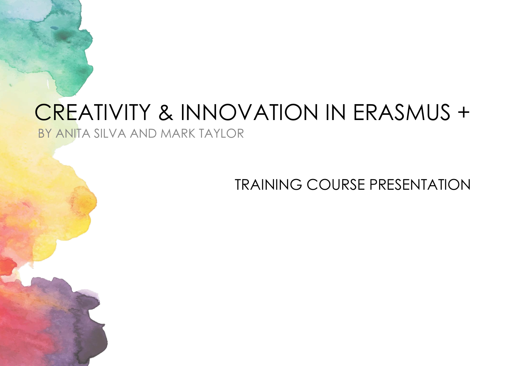# CREATIVITY & INNOVATION IN ERASMUS + BY ANITA SILVA AND MARK TAYLOR

TRAINING COURSE PRESENTATION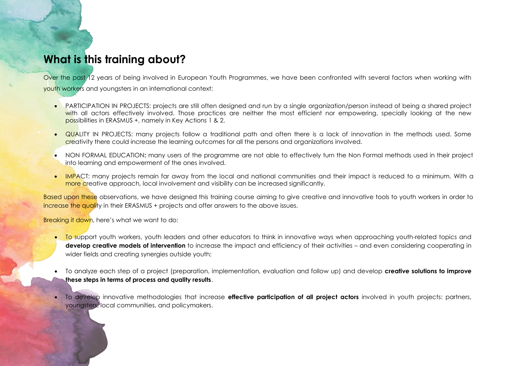# **What is this training about?**

Over the past 12 years of being involved in European Youth Programmes, we have been confronted with several factors when working with youth workers and youngsters in an international context:

- PARTICIPATION IN PROJECTS: projects are still often designed and run by a single organization/person instead of being a shared project with all actors effectively involved. Those practices are neither the most efficient nor empowering, specially looking at the new possibilities in ERASMUS +, namely in Key Actions 1 & 2.
- QUALITY IN PROJECTS: many projects follow a traditional path and often there is a lack of innovation in the methods used. Some creativity there could increase the learning outcomes for all the persons and organizations involved.
- NON FORMAL EDUCATION**:** many users of the programme are not able to effectively turn the Non Formal methods used in their project into learning and empowerment of the ones involved.
- IMPACT: many projects remain far away from the local and national communities and their impact is reduced to a minimum. With a more creative approach, local involvement and visibility can be increased significantly.

Based upon these observations, we have designed this training course aiming to give creative and innovative tools to youth workers in order to increase the quality in their ERASMUS + projects and offer answers to the above issues.

Breaking it down, here's what we want to do:

- To support youth workers, youth leaders and other educators to think in innovative ways when approaching youth-related topics and **develop creative models of intervention** to increase the impact and efficiency of their activities – and even considering cooperating in wider fields and creating synergies outside youth;
- To analyze each step of a project (preparation, implementation, evaluation and follow up) and develop **creative solutions to improve these steps in terms of process and quality results**.
- To develop innovative methodologies that increase **effective participation of all project actors** involved in youth projects: partners, youngsters, local communities, and policymakers.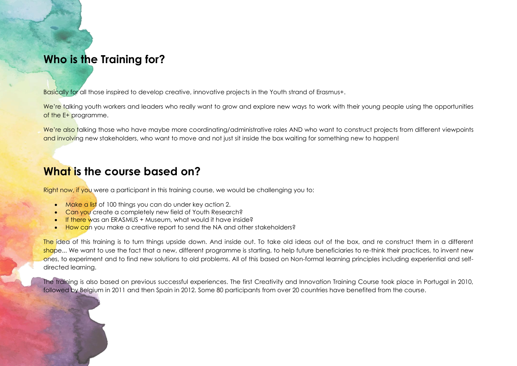# **Who is the Training for?**

Basically for all those inspired to develop creative, innovative projects in the Youth strand of Erasmus+.

We're talking youth workers and leaders who really want to grow and explore new ways to work with their young people using the opportunities of the E+ programme.

We're also talking those who have maybe more coordinating/administrative roles AND who want to construct projects from different viewpoints and involving new stakeholders, who want to move and not just sit inside the box waiting for something new to happen!

## **What is the course based on?**

Right now, if you were a participant in this training course, we would be challenging you to:

- **Make a list** of 100 things you can do under key action 2.
- **Can you create a completely new field of Youth Research?**
- **If there was an ERASMUS + Museum, what would it have inside?**
- How can you make a creative report to send the NA and other stakeholders?

The idea of this training is to turn things upside down. And inside out. To take old ideas out of the box, and re construct them in a different shape... We want to use the fact that a new, different programme is starting, to help future beneficiaries to re-think their practices, to invent new ones, to experiment and to find new solutions to old problems. All of this based on Non-formal learning principles including experiential and selfdirected learning.

The training is also based on previous successful experiences. The first Creativity and Innovation Training Course took place in Portugal in 2010, followed by Belgium in 2011 and then Spain in 2012. Some 80 participants from over 20 countries have benefited from the course.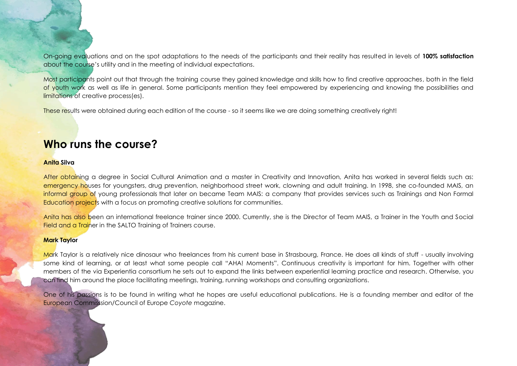On-going evaluations and on the spot adaptations to the needs of the participants and their reality has resulted in levels of **100% satisfaction** about the course's utility and in the meeting of individual expectations.

Most participants point out that through the training course they gained knowledge and skills how to find creative approaches, both in the field of youth work as well as life in general. Some participants mention they feel empowered by experiencing and knowing the possibilities and limitations of creative process(es).

These results were obtained during each edition of the course - so it seems like we are doing something creatively right!

### **Who runs the course?**

#### **Anita Silva**

After obtaining a degree in Social Cultural Animation and a master in Creativity and Innovation, Anita has worked in several fields such as: emergency houses for youngsters, drug prevention, neighborhood street work, clowning and adult training. In 1998, she co-founded MAIS, an informal group of young professionals that later on became Team MAIS: a company that provides services such as Trainings and Non Formal Education projects with a focus on promoting creative solutions for communities.

Anita has also been an international freelance trainer since 2000. Currently, she is the Director of Team MAIS, a Trainer in the Youth and Social Field and a Trainer in the SALTO Training of Trainers course.

### **Mark Taylor**

Mark Taylor is a relatively nice dinosaur who freelances from his current base in Strasbourg, France. He does all kinds of stuff - usually involving some kind of learning, or at least what some people call "AHA! Moments". Continuous creativity is important for him. Together with other members of the via Experientia consortium he sets out to expand the links between experiential learning practice and research. Otherwise, you can find him around the place facilitating meetings, training, running workshops and consulting organizations.

One of his passions is to be found in writing what he hopes are useful educational publications. He is a founding member and editor of the European Commisssion/Council of Europe *Coyote* magazine.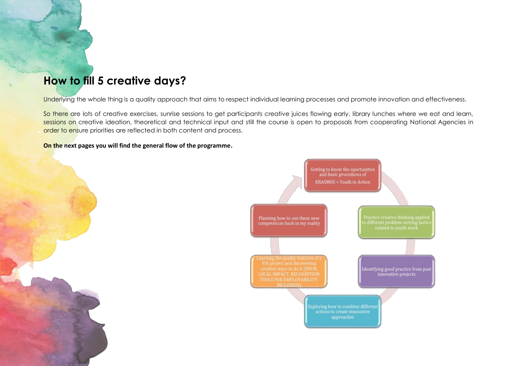# **How to fill 5 creative days?**

Underlying the whole thing is a quality approach that aims to respect individual learning processes and promote innovation and effectiveness.

So there are lots of creative exercises, sunrise sessions to get participants creative juices flowing early, library lunches where we eat and learn, sessions on creative ideation, theoretical and technical input and still the course is open to proposals from cooperating National Agencies in order to ensure priorities are reflected in both content and process.

**On the next pages you will find the general flow of the programme.**